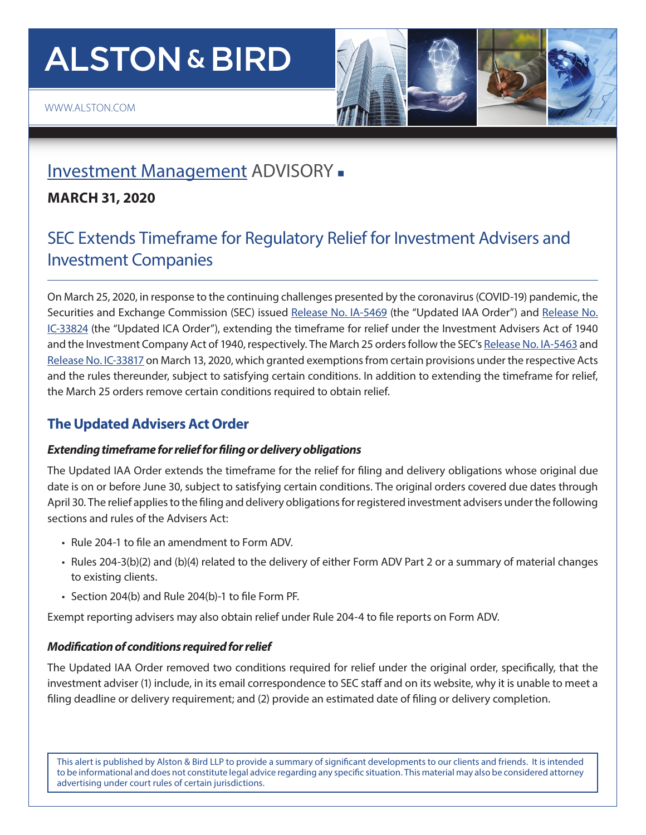# **ALSTON & BIRD**



## [Investment Management](https://www.alston.com/en/services/industries/finance-financial-services/financial-services--products/investment-management) ADVISORY -

### **MARCH 31, 2020**

## SEC Extends Timeframe for Regulatory Relief for Investment Advisers and Investment Companies

On March 25, 2020, in response to the continuing challenges presented by the coronavirus (COVID-19) pandemic, the Securities and Exchange Commission (SEC) issued [Release No. IA-5469](https://www.sec.gov/rules/other/2020/ia-5469.pdf) (the "Updated IAA Order") and [Release No.](https://www.sec.gov/rules/other/2020/ic-33824.pdf) [IC-33824](https://www.sec.gov/rules/other/2020/ic-33824.pdf) (the "Updated ICA Order"), extending the timeframe for relief under the Investment Advisers Act of 1940 and the Investment Company Act of 1940, respectively. The March 25 orders follow the SEC's [Release No. IA-5463](https://www.sec.gov/rules/other/2020/ia-5463.pdf) and [Release No. IC-33817](https://www.sec.gov/rules/other/2020/ic-33817.pdf) on March 13, 2020, which granted exemptions from certain provisions under the respective Acts and the rules thereunder, subject to satisfying certain conditions. In addition to extending the timeframe for relief, the March 25 orders remove certain conditions required to obtain relief.

## **The Updated Advisers Act Order**

#### *Extending timeframe for relief for filing or delivery obligations*

The Updated IAA Order extends the timeframe for the relief for filing and delivery obligations whose original due date is on or before June 30, subject to satisfying certain conditions. The original orders covered due dates through April 30. The relief applies to the filing and delivery obligations for registered investment advisers under the following sections and rules of the Advisers Act:

- Rule 204-1 to file an amendment to Form ADV.
- Rules 204-3(b)(2) and (b)(4) related to the delivery of either Form ADV Part 2 or a summary of material changes to existing clients.
- Section 204(b) and Rule 204(b)-1 to file Form PF.

Exempt reporting advisers may also obtain relief under Rule 204-4 to file reports on Form ADV.

#### *Modification of conditions required for relief*

The Updated IAA Order removed two conditions required for relief under the original order, specifically, that the investment adviser (1) include, in its email correspondence to SEC staff and on its website, why it is unable to meet a filing deadline or delivery requirement; and (2) provide an estimated date of filing or delivery completion.

This alert is published by Alston & Bird LLP to provide a summary of significant developments to our clients and friends. It is intended to be informational and does not constitute legal advice regarding any specific situation. This material may also be considered attorney advertising under court rules of certain jurisdictions.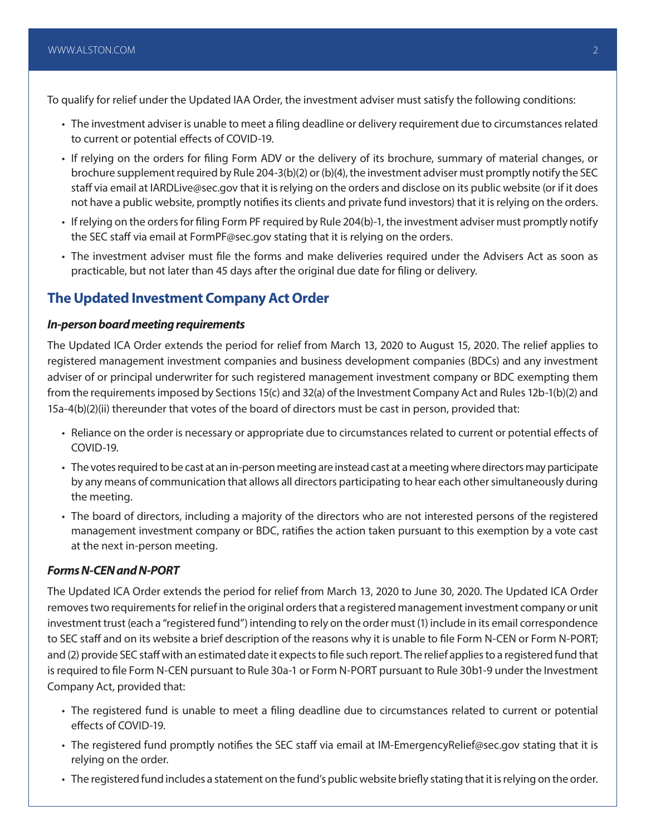To qualify for relief under the Updated IAA Order, the investment adviser must satisfy the following conditions:

- The investment adviser is unable to meet a filing deadline or delivery requirement due to circumstances related to current or potential effects of COVID-19.
- If relying on the orders for filing Form ADV or the delivery of its brochure, summary of material changes, or brochure supplement required by Rule 204-3(b)(2) or (b)(4), the investment adviser must promptly notify the SEC staff via email at IARDLive@sec.gov that it is relying on the orders and disclose on its public website (or if it does not have a public website, promptly notifies its clients and private fund investors) that it is relying on the orders.
- If relying on the orders for filing Form PF required by Rule 204(b)-1, the investment adviser must promptly notify the SEC staff via email at FormPF@sec.gov stating that it is relying on the orders.
- The investment adviser must file the forms and make deliveries required under the Advisers Act as soon as practicable, but not later than 45 days after the original due date for filing or delivery.

#### **The Updated Investment Company Act Order**

#### *In-person board meeting requirements*

The Updated ICA Order extends the period for relief from March 13, 2020 to August 15, 2020. The relief applies to registered management investment companies and business development companies (BDCs) and any investment adviser of or principal underwriter for such registered management investment company or BDC exempting them from the requirements imposed by Sections 15(c) and 32(a) of the Investment Company Act and Rules 12b-1(b)(2) and 15a-4(b)(2)(ii) thereunder that votes of the board of directors must be cast in person, provided that:

- Reliance on the order is necessary or appropriate due to circumstances related to current or potential effects of COVID-19.
- The votes required to be cast at an in-person meeting are instead cast at a meeting where directors may participate by any means of communication that allows all directors participating to hear each other simultaneously during the meeting.
- The board of directors, including a majority of the directors who are not interested persons of the registered management investment company or BDC, ratifies the action taken pursuant to this exemption by a vote cast at the next in-person meeting.

#### *Forms N-CEN and N-PORT*

The Updated ICA Order extends the period for relief from March 13, 2020 to June 30, 2020. The Updated ICA Order removes two requirements for relief in the original orders that a registered management investment company or unit investment trust (each a "registered fund") intending to rely on the order must (1) include in its email correspondence to SEC staff and on its website a brief description of the reasons why it is unable to file Form N-CEN or Form N-PORT; and (2) provide SEC staff with an estimated date it expects to file such report. The relief applies to a registered fund that is required to file Form N-CEN pursuant to Rule 30a-1 or Form N-PORT pursuant to Rule 30b1-9 under the Investment Company Act, provided that:

- The registered fund is unable to meet a filing deadline due to circumstances related to current or potential effects of COVID-19.
- The registered fund promptly notifies the SEC staff via email at IM-EmergencyRelief@sec.gov stating that it is relying on the order.
- The registered fund includes a statement on the fund's public website briefly stating that it is relying on the order.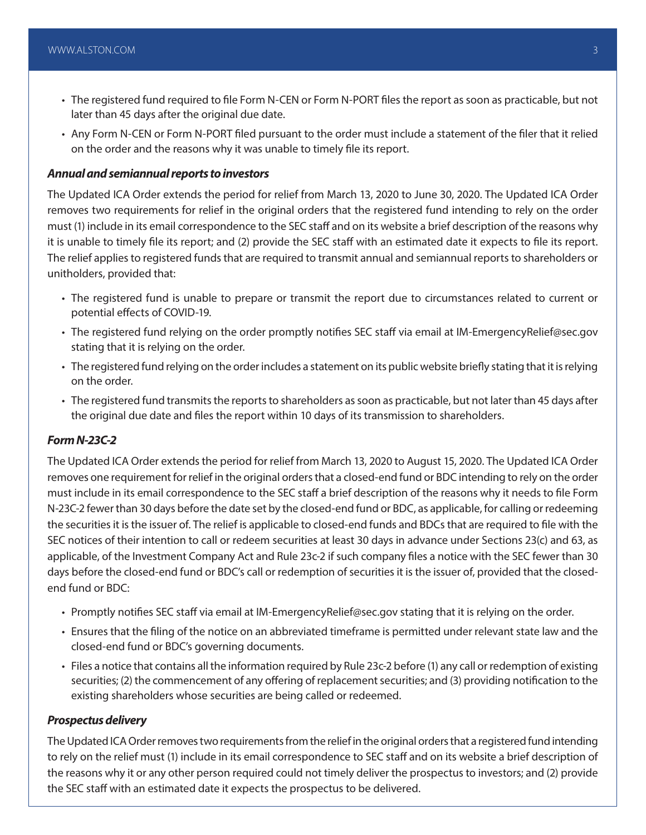- The registered fund required to file Form N-CEN or Form N-PORT files the report as soon as practicable, but not later than 45 days after the original due date.
- Any Form N-CEN or Form N-PORT filed pursuant to the order must include a statement of the filer that it relied on the order and the reasons why it was unable to timely file its report.

#### *Annual and semiannual reports to investors*

The Updated ICA Order extends the period for relief from March 13, 2020 to June 30, 2020. The Updated ICA Order removes two requirements for relief in the original orders that the registered fund intending to rely on the order must (1) include in its email correspondence to the SEC staff and on its website a brief description of the reasons why it is unable to timely file its report; and (2) provide the SEC staff with an estimated date it expects to file its report. The relief applies to registered funds that are required to transmit annual and semiannual reports to shareholders or unitholders, provided that:

- The registered fund is unable to prepare or transmit the report due to circumstances related to current or potential effects of COVID-19.
- The registered fund relying on the order promptly notifies SEC staff via email at IM-EmergencyRelief@sec.gov stating that it is relying on the order.
- The registered fund relying on the order includes a statement on its public website briefly stating that it is relying on the order.
- The registered fund transmits the reports to shareholders as soon as practicable, but not later than 45 days after the original due date and files the report within 10 days of its transmission to shareholders.

#### *Form N-23C-2*

The Updated ICA Order extends the period for relief from March 13, 2020 to August 15, 2020. The Updated ICA Order removes one requirement for relief in the original orders that a closed-end fund or BDC intending to rely on the order must include in its email correspondence to the SEC staff a brief description of the reasons why it needs to file Form N-23C-2 fewer than 30 days before the date set by the closed-end fund or BDC, as applicable, for calling or redeeming the securities it is the issuer of. The relief is applicable to closed-end funds and BDCs that are required to file with the SEC notices of their intention to call or redeem securities at least 30 days in advance under Sections 23(c) and 63, as applicable, of the Investment Company Act and Rule 23c-2 if such company files a notice with the SEC fewer than 30 days before the closed-end fund or BDC's call or redemption of securities it is the issuer of, provided that the closedend fund or BDC:

- Promptly notifies SEC staff via email at IM-EmergencyRelief@sec.gov stating that it is relying on the order.
- Ensures that the filing of the notice on an abbreviated timeframe is permitted under relevant state law and the closed-end fund or BDC's governing documents.
- Files a notice that contains all the information required by Rule 23c-2 before (1) any call or redemption of existing securities; (2) the commencement of any offering of replacement securities; and (3) providing notification to the existing shareholders whose securities are being called or redeemed.

#### *Prospectus delivery*

The Updated ICA Order removes two requirements from the relief in the original orders that a registered fund intending to rely on the relief must (1) include in its email correspondence to SEC staff and on its website a brief description of the reasons why it or any other person required could not timely deliver the prospectus to investors; and (2) provide the SEC staff with an estimated date it expects the prospectus to be delivered.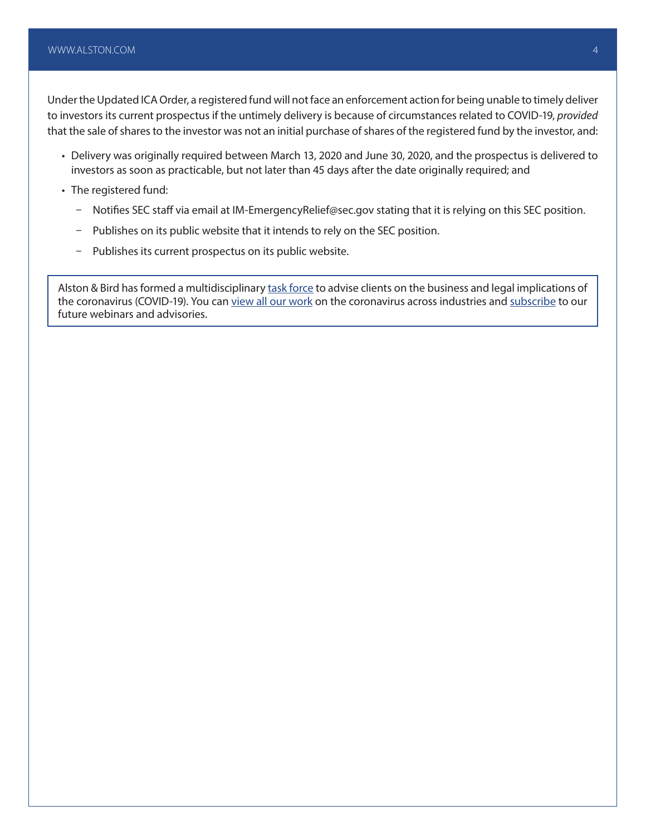Under the Updated ICA Order, a registered fund will not face an enforcement action for being unable to timely deliver to investors its current prospectus if the untimely delivery is because of circumstances related to COVID-19, *provided* that the sale of shares to the investor was not an initial purchase of shares of the registered fund by the investor, and:

- Delivery was originally required between March 13, 2020 and June 30, 2020, and the prospectus is delivered to investors as soon as practicable, but not later than 45 days after the date originally required; and
- The registered fund:
	- Notifies SEC staff via email at IM-EmergencyRelief@sec.gov stating that it is relying on this SEC position.
	- Publishes on its public website that it intends to rely on the SEC position.
	- Publishes its current prospectus on its public website.

Alston & Bird has formed a multidisciplinary [task force](https://www.alston.com/en/resources/coronavirus/overview) to advise clients on the business and legal implications of the coronavirus (COVID-19). You can [view all our work](https://www.alston.com/en/insights/?keyword=Coronavirus&reload=false&scroll=499.7685546875) on the coronavirus across industries and [subscribe](https://www.alston.com/en/resources/subscriptions-form) to our future webinars and advisories.